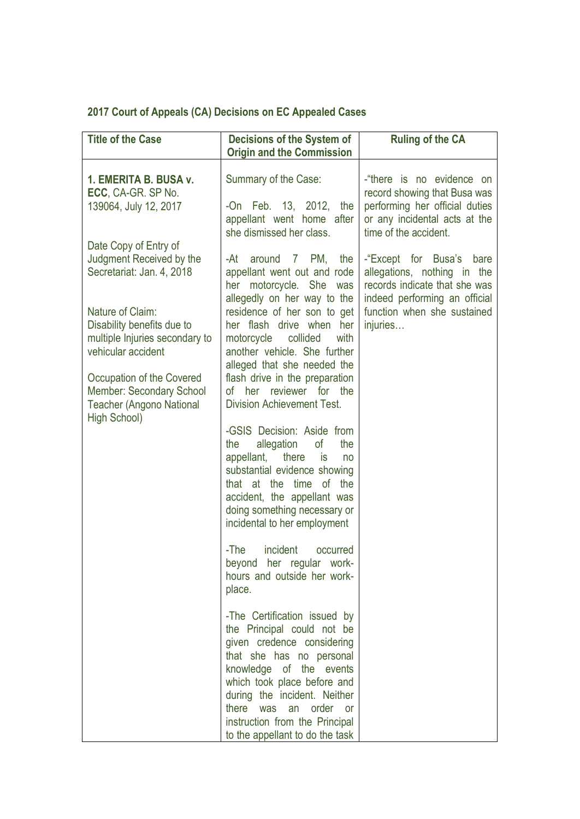## **2017 Court of Appeals (CA) Decisions on EC Appealed Cases**

| <b>Title of the Case</b>                                                                                                                                                                                                                                                                             | <b>Decisions of the System of</b><br><b>Origin and the Commission</b>                                                                                                                                                                                                                                                                                                                                                                                                                                                                                                                                                                                | <b>Ruling of the CA</b>                                                                                                                                                 |
|------------------------------------------------------------------------------------------------------------------------------------------------------------------------------------------------------------------------------------------------------------------------------------------------------|------------------------------------------------------------------------------------------------------------------------------------------------------------------------------------------------------------------------------------------------------------------------------------------------------------------------------------------------------------------------------------------------------------------------------------------------------------------------------------------------------------------------------------------------------------------------------------------------------------------------------------------------------|-------------------------------------------------------------------------------------------------------------------------------------------------------------------------|
| 1. EMERITA B. BUSA v.<br>ECC, CA-GR. SP No.<br>139064, July 12, 2017                                                                                                                                                                                                                                 | Summary of the Case:<br>-On Feb. 13, 2012, the<br>appellant went home after<br>she dismissed her class.                                                                                                                                                                                                                                                                                                                                                                                                                                                                                                                                              | -"there is no evidence on<br>record showing that Busa was<br>performing her official duties<br>or any incidental acts at the<br>time of the accident.                   |
| Date Copy of Entry of<br>Judgment Received by the<br>Secretariat: Jan. 4, 2018<br>Nature of Claim:<br>Disability benefits due to<br>multiple Injuries secondary to<br>vehicular accident<br>Occupation of the Covered<br>Member: Secondary School<br><b>Teacher (Angono National</b><br>High School) | 7 PM,<br>-At<br>around<br>the<br>appellant went out and rode<br>her motorcycle. She was<br>allegedly on her way to the<br>residence of her son to get<br>her flash drive when<br>her<br>motorcycle<br>collided<br>with<br>another vehicle. She further<br>alleged that she needed the<br>flash drive in the preparation<br>of her reviewer for the<br>Division Achievement Test.<br>-GSIS Decision: Aside from<br>allegation<br>of<br>the<br>the<br>there<br>appellant,<br><b>is</b><br>no<br>substantial evidence showing<br>that at the time of the<br>accident, the appellant was<br>doing something necessary or<br>incidental to her employment | -"Except for Busa's<br>bare<br>allegations, nothing in the<br>records indicate that she was<br>indeed performing an official<br>function when she sustained<br>injuries |
|                                                                                                                                                                                                                                                                                                      | incident<br>-The<br>occurred<br>beyond her regular work-<br>hours and outside her work-<br>place.<br>-The Certification issued by<br>the Principal could not be<br>given credence considering                                                                                                                                                                                                                                                                                                                                                                                                                                                        |                                                                                                                                                                         |
|                                                                                                                                                                                                                                                                                                      | that she has no personal<br>knowledge of the events<br>which took place before and<br>during the incident. Neither<br>there<br>was an order<br><b>or</b><br>instruction from the Principal<br>to the appellant to do the task                                                                                                                                                                                                                                                                                                                                                                                                                        |                                                                                                                                                                         |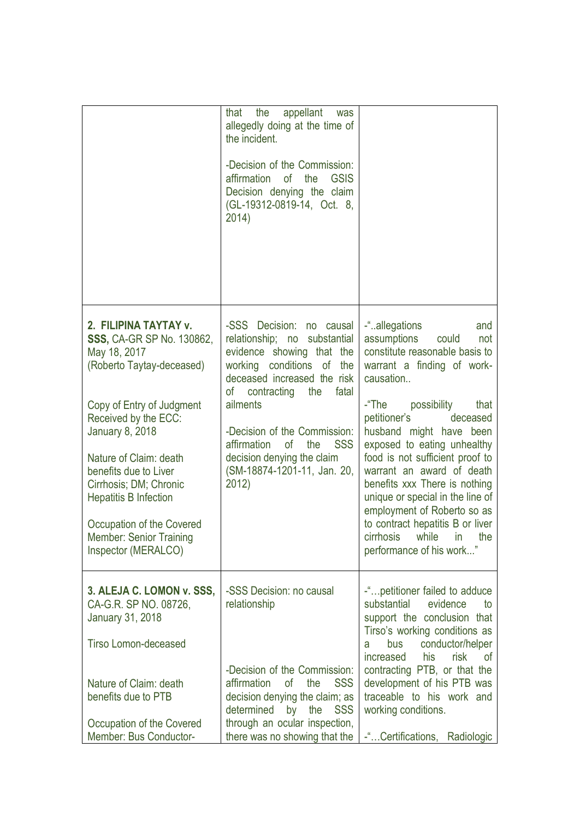|                                                                                                                                                                                                                                                                                                                                                                                          | that the<br>appellant<br>was<br>allegedly doing at the time of<br>the incident.<br>-Decision of the Commission:<br>affirmation<br>0f<br>the<br><b>GSIS</b><br>Decision denying the claim<br>(GL-19312-0819-14, Oct. 8,<br>2014)                                                                                                                    |                                                                                                                                                                                                                                                                                                                                                                                                                                                                                                                      |
|------------------------------------------------------------------------------------------------------------------------------------------------------------------------------------------------------------------------------------------------------------------------------------------------------------------------------------------------------------------------------------------|----------------------------------------------------------------------------------------------------------------------------------------------------------------------------------------------------------------------------------------------------------------------------------------------------------------------------------------------------|----------------------------------------------------------------------------------------------------------------------------------------------------------------------------------------------------------------------------------------------------------------------------------------------------------------------------------------------------------------------------------------------------------------------------------------------------------------------------------------------------------------------|
| 2. FILIPINA TAYTAY v.<br><b>SSS, CA-GR SP No. 130862,</b><br>May 18, 2017<br>(Roberto Taytay-deceased)<br>Copy of Entry of Judgment<br>Received by the ECC:<br><b>January 8, 2018</b><br>Nature of Claim: death<br>benefits due to Liver<br>Cirrhosis; DM; Chronic<br><b>Hepatitis B Infection</b><br>Occupation of the Covered<br><b>Member: Senior Training</b><br>Inspector (MERALCO) | -SSS Decision:<br>no causal<br>relationship; no substantial<br>evidence showing that the<br>working conditions of the<br>deceased increased the risk<br>contracting the<br>of<br>fatal<br>ailments<br>-Decision of the Commission:<br>affirmation<br><b>SSS</b><br>0f<br>the<br>decision denying the claim<br>(SM-18874-1201-11, Jan. 20,<br>2012) | -"allegations<br>and<br>assumptions<br>could<br>not<br>constitute reasonable basis to<br>warrant a finding of work-<br>causation<br>-"The<br>possibility<br>that<br>petitioner's<br>deceased<br>husband might have been<br>exposed to eating unhealthy<br>food is not sufficient proof to<br>warrant an award of death<br>benefits xxx There is nothing<br>unique or special in the line of<br>employment of Roberto so as<br>to contract hepatitis B or liver<br>cirrhosis while in the<br>performance of his work" |
| 3. ALEJA C. LOMON v. SSS,<br>CA-G.R. SP NO. 08726,<br>January 31, 2018<br><b>Tirso Lomon-deceased</b><br>Nature of Claim: death<br>benefits due to PTB<br>Occupation of the Covered<br>Member: Bus Conductor-                                                                                                                                                                            | -SSS Decision: no causal<br>relationship<br>-Decision of the Commission:<br>affirmation<br><b>of</b><br><b>SSS</b><br>the<br>decision denying the claim; as<br>determined<br>the<br>by<br><b>SSS</b><br>through an ocular inspection,<br>there was no showing that the                                                                             | -" petitioner failed to adduce<br>substantial<br>evidence<br>to<br>support the conclusion that<br>Tirso's working conditions as<br>conductor/helper<br>bus<br>a<br>his<br>risk<br>increased<br>0f<br>contracting PTB, or that the<br>development of his PTB was<br>traceable to his work and<br>working conditions.<br>-"Certifications,<br>Radiologic                                                                                                                                                               |